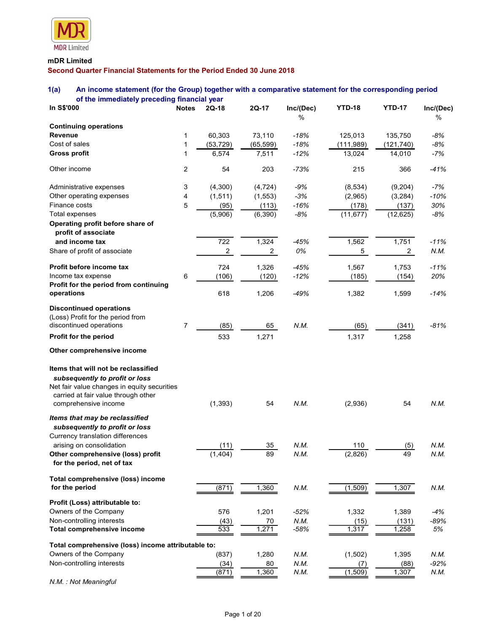

# mDR Limited Second Quarter Financial Statements for the Period Ended 30 June 2018

# 1(a) An income statement (for the Group) together with a comparative statement for the corresponding period of the immediately preceding financial year

| <b>MDR</b> Limited<br>mDR Limited<br>Second Quarter Financial Statements for the Period Ended 30 June 2018<br>An income statement (for the Group) together with a comparative statement for the corresponding period<br>of the immediately preceding financial year<br>$2Q-17$<br>Inc/(Dec)<br><b>YTD-18</b><br><b>YTD-17</b><br>Inc/(Dec)<br>In S\$'000<br>$2Q-18$<br>Notes<br>$\%$<br>%<br>60,303<br>73,110<br>$-18%$<br>125,013<br>135,750<br>-8%<br>Cost of sales<br>$-18%$<br>$-8%$<br>(53, 729)<br>(111,989)<br>(65, 599)<br>(121, 740)<br>6,574<br>7,511<br>$-12%$<br>-7%<br>13,024<br>14,010<br><b>Gross profit</b><br>Other income<br>$\overline{2}$<br>54<br>203<br>$-73%$<br>215<br>$-41%$<br>366<br>-7%<br>3<br>(4,300)<br>(4, 724)<br>$-9%$<br>(8, 534)<br>(9,204)<br>$-10%$<br>$\overline{4}$<br>(1, 511)<br>(1, 553)<br>-3%<br>(2,965)<br>(3,284)<br>5<br>Finance costs<br>(95)<br>(113)<br>$-16%$<br>(178)<br>30%<br>(137)<br>(5,906)<br>(6, 390)<br>$-8%$<br>(11, 677)<br>-8%<br>Total expenses<br>(12, 625)<br>Operating profit before share of<br>profit of associate<br>722<br>1,324<br>1,562<br>1,751<br>$-11%$<br>and income tax<br>-45%<br>$\overline{c}$<br>0%<br>5<br>Share of profit of associate<br>2<br>2<br>N.M.<br>724<br>$-45%$<br>1,326<br>1,567<br>1,753<br>$-11%$<br>6<br>(106)<br>$-12%$<br>(185)<br>20%<br>(120)<br>(154)<br>Profit for the period from continuing<br>618<br>1,206<br>$-49%$<br>1,382<br>1,599<br>operations<br>$-14%$<br><b>Discontinued operations</b><br>(Loss) Profit for the period from<br>$\overline{7}$<br>(85)<br>65<br>N.M.<br>(65)<br>$-81%$<br>(341)<br>533<br>1,271<br>1,317<br>1,258<br>Other comprehensive income<br>subsequently to profit or loss<br>Net fair value changes in equity securities<br>carried at fair value through other<br>(1, 393)<br>54<br>N.M.<br>(2,936)<br>54<br>N.M.<br>comprehensive income<br>Items that may be reclassified<br>subsequently to profit or loss<br>Currency translation differences<br>N.M.<br>N.M.<br>(11)<br>$35\,$<br>110<br>arising on consolidation<br>(5)<br>89<br>(1, 404)<br>N.M.<br>49<br>(2,826)<br>N.M.<br>for the period, net of tax<br>Total comprehensive (loss) income<br>(871)<br>(1,509)<br>1,360<br>N.M.<br>N.M.<br>for the period<br>1,307<br>576<br>1,201<br>$-52%$<br>1,332<br>1,389<br>$-4%$<br>(43)<br>N.M.<br>(15)<br>$-89%$<br>70<br>(131)<br>533<br>1,271<br>$-58%$<br>1,317<br>1,258<br>5%<br>Total comprehensive income<br>Total comprehensive (loss) income attributable to:<br>Owners of the Company<br>(837)<br>1,280<br>N.M.<br>(1, 502)<br>1,395<br>N.M.<br>Non-controlling interests<br>80<br>N.M.<br>$-92%$<br>(34)<br>(7)<br>(88) |                                     |       |       |      |         |       |      |
|-----------------------------------------------------------------------------------------------------------------------------------------------------------------------------------------------------------------------------------------------------------------------------------------------------------------------------------------------------------------------------------------------------------------------------------------------------------------------------------------------------------------------------------------------------------------------------------------------------------------------------------------------------------------------------------------------------------------------------------------------------------------------------------------------------------------------------------------------------------------------------------------------------------------------------------------------------------------------------------------------------------------------------------------------------------------------------------------------------------------------------------------------------------------------------------------------------------------------------------------------------------------------------------------------------------------------------------------------------------------------------------------------------------------------------------------------------------------------------------------------------------------------------------------------------------------------------------------------------------------------------------------------------------------------------------------------------------------------------------------------------------------------------------------------------------------------------------------------------------------------------------------------------------------------------------------------------------------------------------------------------------------------------------------------------------------------------------------------------------------------------------------------------------------------------------------------------------------------------------------------------------------------------------------------------------------------------------------------------------------------------------------------------------------------------------------------------------------------------------------------------------------------------------------------------------------------------------------------------------------------------------------------------------------------------------|-------------------------------------|-------|-------|------|---------|-------|------|
|                                                                                                                                                                                                                                                                                                                                                                                                                                                                                                                                                                                                                                                                                                                                                                                                                                                                                                                                                                                                                                                                                                                                                                                                                                                                                                                                                                                                                                                                                                                                                                                                                                                                                                                                                                                                                                                                                                                                                                                                                                                                                                                                                                                                                                                                                                                                                                                                                                                                                                                                                                                                                                                                                   |                                     |       |       |      |         |       |      |
|                                                                                                                                                                                                                                                                                                                                                                                                                                                                                                                                                                                                                                                                                                                                                                                                                                                                                                                                                                                                                                                                                                                                                                                                                                                                                                                                                                                                                                                                                                                                                                                                                                                                                                                                                                                                                                                                                                                                                                                                                                                                                                                                                                                                                                                                                                                                                                                                                                                                                                                                                                                                                                                                                   |                                     |       |       |      |         |       |      |
|                                                                                                                                                                                                                                                                                                                                                                                                                                                                                                                                                                                                                                                                                                                                                                                                                                                                                                                                                                                                                                                                                                                                                                                                                                                                                                                                                                                                                                                                                                                                                                                                                                                                                                                                                                                                                                                                                                                                                                                                                                                                                                                                                                                                                                                                                                                                                                                                                                                                                                                                                                                                                                                                                   |                                     |       |       |      |         |       |      |
|                                                                                                                                                                                                                                                                                                                                                                                                                                                                                                                                                                                                                                                                                                                                                                                                                                                                                                                                                                                                                                                                                                                                                                                                                                                                                                                                                                                                                                                                                                                                                                                                                                                                                                                                                                                                                                                                                                                                                                                                                                                                                                                                                                                                                                                                                                                                                                                                                                                                                                                                                                                                                                                                                   |                                     |       |       |      |         |       |      |
|                                                                                                                                                                                                                                                                                                                                                                                                                                                                                                                                                                                                                                                                                                                                                                                                                                                                                                                                                                                                                                                                                                                                                                                                                                                                                                                                                                                                                                                                                                                                                                                                                                                                                                                                                                                                                                                                                                                                                                                                                                                                                                                                                                                                                                                                                                                                                                                                                                                                                                                                                                                                                                                                                   |                                     |       |       |      |         |       |      |
|                                                                                                                                                                                                                                                                                                                                                                                                                                                                                                                                                                                                                                                                                                                                                                                                                                                                                                                                                                                                                                                                                                                                                                                                                                                                                                                                                                                                                                                                                                                                                                                                                                                                                                                                                                                                                                                                                                                                                                                                                                                                                                                                                                                                                                                                                                                                                                                                                                                                                                                                                                                                                                                                                   |                                     |       |       |      |         |       |      |
|                                                                                                                                                                                                                                                                                                                                                                                                                                                                                                                                                                                                                                                                                                                                                                                                                                                                                                                                                                                                                                                                                                                                                                                                                                                                                                                                                                                                                                                                                                                                                                                                                                                                                                                                                                                                                                                                                                                                                                                                                                                                                                                                                                                                                                                                                                                                                                                                                                                                                                                                                                                                                                                                                   |                                     |       |       |      |         |       |      |
|                                                                                                                                                                                                                                                                                                                                                                                                                                                                                                                                                                                                                                                                                                                                                                                                                                                                                                                                                                                                                                                                                                                                                                                                                                                                                                                                                                                                                                                                                                                                                                                                                                                                                                                                                                                                                                                                                                                                                                                                                                                                                                                                                                                                                                                                                                                                                                                                                                                                                                                                                                                                                                                                                   |                                     |       |       |      |         |       |      |
|                                                                                                                                                                                                                                                                                                                                                                                                                                                                                                                                                                                                                                                                                                                                                                                                                                                                                                                                                                                                                                                                                                                                                                                                                                                                                                                                                                                                                                                                                                                                                                                                                                                                                                                                                                                                                                                                                                                                                                                                                                                                                                                                                                                                                                                                                                                                                                                                                                                                                                                                                                                                                                                                                   |                                     |       |       |      |         |       |      |
|                                                                                                                                                                                                                                                                                                                                                                                                                                                                                                                                                                                                                                                                                                                                                                                                                                                                                                                                                                                                                                                                                                                                                                                                                                                                                                                                                                                                                                                                                                                                                                                                                                                                                                                                                                                                                                                                                                                                                                                                                                                                                                                                                                                                                                                                                                                                                                                                                                                                                                                                                                                                                                                                                   |                                     |       |       |      |         |       |      |
|                                                                                                                                                                                                                                                                                                                                                                                                                                                                                                                                                                                                                                                                                                                                                                                                                                                                                                                                                                                                                                                                                                                                                                                                                                                                                                                                                                                                                                                                                                                                                                                                                                                                                                                                                                                                                                                                                                                                                                                                                                                                                                                                                                                                                                                                                                                                                                                                                                                                                                                                                                                                                                                                                   | 1(a)                                |       |       |      |         |       |      |
|                                                                                                                                                                                                                                                                                                                                                                                                                                                                                                                                                                                                                                                                                                                                                                                                                                                                                                                                                                                                                                                                                                                                                                                                                                                                                                                                                                                                                                                                                                                                                                                                                                                                                                                                                                                                                                                                                                                                                                                                                                                                                                                                                                                                                                                                                                                                                                                                                                                                                                                                                                                                                                                                                   |                                     |       |       |      |         |       |      |
|                                                                                                                                                                                                                                                                                                                                                                                                                                                                                                                                                                                                                                                                                                                                                                                                                                                                                                                                                                                                                                                                                                                                                                                                                                                                                                                                                                                                                                                                                                                                                                                                                                                                                                                                                                                                                                                                                                                                                                                                                                                                                                                                                                                                                                                                                                                                                                                                                                                                                                                                                                                                                                                                                   |                                     |       |       |      |         |       |      |
|                                                                                                                                                                                                                                                                                                                                                                                                                                                                                                                                                                                                                                                                                                                                                                                                                                                                                                                                                                                                                                                                                                                                                                                                                                                                                                                                                                                                                                                                                                                                                                                                                                                                                                                                                                                                                                                                                                                                                                                                                                                                                                                                                                                                                                                                                                                                                                                                                                                                                                                                                                                                                                                                                   | <b>Continuing operations</b>        |       |       |      |         |       |      |
|                                                                                                                                                                                                                                                                                                                                                                                                                                                                                                                                                                                                                                                                                                                                                                                                                                                                                                                                                                                                                                                                                                                                                                                                                                                                                                                                                                                                                                                                                                                                                                                                                                                                                                                                                                                                                                                                                                                                                                                                                                                                                                                                                                                                                                                                                                                                                                                                                                                                                                                                                                                                                                                                                   | Revenue                             |       |       |      |         |       |      |
|                                                                                                                                                                                                                                                                                                                                                                                                                                                                                                                                                                                                                                                                                                                                                                                                                                                                                                                                                                                                                                                                                                                                                                                                                                                                                                                                                                                                                                                                                                                                                                                                                                                                                                                                                                                                                                                                                                                                                                                                                                                                                                                                                                                                                                                                                                                                                                                                                                                                                                                                                                                                                                                                                   |                                     |       |       |      |         |       |      |
|                                                                                                                                                                                                                                                                                                                                                                                                                                                                                                                                                                                                                                                                                                                                                                                                                                                                                                                                                                                                                                                                                                                                                                                                                                                                                                                                                                                                                                                                                                                                                                                                                                                                                                                                                                                                                                                                                                                                                                                                                                                                                                                                                                                                                                                                                                                                                                                                                                                                                                                                                                                                                                                                                   |                                     |       |       |      |         |       |      |
|                                                                                                                                                                                                                                                                                                                                                                                                                                                                                                                                                                                                                                                                                                                                                                                                                                                                                                                                                                                                                                                                                                                                                                                                                                                                                                                                                                                                                                                                                                                                                                                                                                                                                                                                                                                                                                                                                                                                                                                                                                                                                                                                                                                                                                                                                                                                                                                                                                                                                                                                                                                                                                                                                   |                                     |       |       |      |         |       |      |
|                                                                                                                                                                                                                                                                                                                                                                                                                                                                                                                                                                                                                                                                                                                                                                                                                                                                                                                                                                                                                                                                                                                                                                                                                                                                                                                                                                                                                                                                                                                                                                                                                                                                                                                                                                                                                                                                                                                                                                                                                                                                                                                                                                                                                                                                                                                                                                                                                                                                                                                                                                                                                                                                                   | Administrative expenses             |       |       |      |         |       |      |
|                                                                                                                                                                                                                                                                                                                                                                                                                                                                                                                                                                                                                                                                                                                                                                                                                                                                                                                                                                                                                                                                                                                                                                                                                                                                                                                                                                                                                                                                                                                                                                                                                                                                                                                                                                                                                                                                                                                                                                                                                                                                                                                                                                                                                                                                                                                                                                                                                                                                                                                                                                                                                                                                                   | Other operating expenses            |       |       |      |         |       |      |
|                                                                                                                                                                                                                                                                                                                                                                                                                                                                                                                                                                                                                                                                                                                                                                                                                                                                                                                                                                                                                                                                                                                                                                                                                                                                                                                                                                                                                                                                                                                                                                                                                                                                                                                                                                                                                                                                                                                                                                                                                                                                                                                                                                                                                                                                                                                                                                                                                                                                                                                                                                                                                                                                                   |                                     |       |       |      |         |       |      |
|                                                                                                                                                                                                                                                                                                                                                                                                                                                                                                                                                                                                                                                                                                                                                                                                                                                                                                                                                                                                                                                                                                                                                                                                                                                                                                                                                                                                                                                                                                                                                                                                                                                                                                                                                                                                                                                                                                                                                                                                                                                                                                                                                                                                                                                                                                                                                                                                                                                                                                                                                                                                                                                                                   |                                     |       |       |      |         |       |      |
|                                                                                                                                                                                                                                                                                                                                                                                                                                                                                                                                                                                                                                                                                                                                                                                                                                                                                                                                                                                                                                                                                                                                                                                                                                                                                                                                                                                                                                                                                                                                                                                                                                                                                                                                                                                                                                                                                                                                                                                                                                                                                                                                                                                                                                                                                                                                                                                                                                                                                                                                                                                                                                                                                   |                                     |       |       |      |         |       |      |
|                                                                                                                                                                                                                                                                                                                                                                                                                                                                                                                                                                                                                                                                                                                                                                                                                                                                                                                                                                                                                                                                                                                                                                                                                                                                                                                                                                                                                                                                                                                                                                                                                                                                                                                                                                                                                                                                                                                                                                                                                                                                                                                                                                                                                                                                                                                                                                                                                                                                                                                                                                                                                                                                                   |                                     |       |       |      |         |       |      |
|                                                                                                                                                                                                                                                                                                                                                                                                                                                                                                                                                                                                                                                                                                                                                                                                                                                                                                                                                                                                                                                                                                                                                                                                                                                                                                                                                                                                                                                                                                                                                                                                                                                                                                                                                                                                                                                                                                                                                                                                                                                                                                                                                                                                                                                                                                                                                                                                                                                                                                                                                                                                                                                                                   |                                     |       |       |      |         |       |      |
|                                                                                                                                                                                                                                                                                                                                                                                                                                                                                                                                                                                                                                                                                                                                                                                                                                                                                                                                                                                                                                                                                                                                                                                                                                                                                                                                                                                                                                                                                                                                                                                                                                                                                                                                                                                                                                                                                                                                                                                                                                                                                                                                                                                                                                                                                                                                                                                                                                                                                                                                                                                                                                                                                   | Profit before income tax            |       |       |      |         |       |      |
|                                                                                                                                                                                                                                                                                                                                                                                                                                                                                                                                                                                                                                                                                                                                                                                                                                                                                                                                                                                                                                                                                                                                                                                                                                                                                                                                                                                                                                                                                                                                                                                                                                                                                                                                                                                                                                                                                                                                                                                                                                                                                                                                                                                                                                                                                                                                                                                                                                                                                                                                                                                                                                                                                   | Income tax expense                  |       |       |      |         |       |      |
|                                                                                                                                                                                                                                                                                                                                                                                                                                                                                                                                                                                                                                                                                                                                                                                                                                                                                                                                                                                                                                                                                                                                                                                                                                                                                                                                                                                                                                                                                                                                                                                                                                                                                                                                                                                                                                                                                                                                                                                                                                                                                                                                                                                                                                                                                                                                                                                                                                                                                                                                                                                                                                                                                   |                                     |       |       |      |         |       |      |
|                                                                                                                                                                                                                                                                                                                                                                                                                                                                                                                                                                                                                                                                                                                                                                                                                                                                                                                                                                                                                                                                                                                                                                                                                                                                                                                                                                                                                                                                                                                                                                                                                                                                                                                                                                                                                                                                                                                                                                                                                                                                                                                                                                                                                                                                                                                                                                                                                                                                                                                                                                                                                                                                                   |                                     |       |       |      |         |       |      |
|                                                                                                                                                                                                                                                                                                                                                                                                                                                                                                                                                                                                                                                                                                                                                                                                                                                                                                                                                                                                                                                                                                                                                                                                                                                                                                                                                                                                                                                                                                                                                                                                                                                                                                                                                                                                                                                                                                                                                                                                                                                                                                                                                                                                                                                                                                                                                                                                                                                                                                                                                                                                                                                                                   |                                     |       |       |      |         |       |      |
|                                                                                                                                                                                                                                                                                                                                                                                                                                                                                                                                                                                                                                                                                                                                                                                                                                                                                                                                                                                                                                                                                                                                                                                                                                                                                                                                                                                                                                                                                                                                                                                                                                                                                                                                                                                                                                                                                                                                                                                                                                                                                                                                                                                                                                                                                                                                                                                                                                                                                                                                                                                                                                                                                   | discontinued operations             |       |       |      |         |       |      |
|                                                                                                                                                                                                                                                                                                                                                                                                                                                                                                                                                                                                                                                                                                                                                                                                                                                                                                                                                                                                                                                                                                                                                                                                                                                                                                                                                                                                                                                                                                                                                                                                                                                                                                                                                                                                                                                                                                                                                                                                                                                                                                                                                                                                                                                                                                                                                                                                                                                                                                                                                                                                                                                                                   | Profit for the period               |       |       |      |         |       |      |
|                                                                                                                                                                                                                                                                                                                                                                                                                                                                                                                                                                                                                                                                                                                                                                                                                                                                                                                                                                                                                                                                                                                                                                                                                                                                                                                                                                                                                                                                                                                                                                                                                                                                                                                                                                                                                                                                                                                                                                                                                                                                                                                                                                                                                                                                                                                                                                                                                                                                                                                                                                                                                                                                                   |                                     |       |       |      |         |       |      |
|                                                                                                                                                                                                                                                                                                                                                                                                                                                                                                                                                                                                                                                                                                                                                                                                                                                                                                                                                                                                                                                                                                                                                                                                                                                                                                                                                                                                                                                                                                                                                                                                                                                                                                                                                                                                                                                                                                                                                                                                                                                                                                                                                                                                                                                                                                                                                                                                                                                                                                                                                                                                                                                                                   |                                     |       |       |      |         |       |      |
|                                                                                                                                                                                                                                                                                                                                                                                                                                                                                                                                                                                                                                                                                                                                                                                                                                                                                                                                                                                                                                                                                                                                                                                                                                                                                                                                                                                                                                                                                                                                                                                                                                                                                                                                                                                                                                                                                                                                                                                                                                                                                                                                                                                                                                                                                                                                                                                                                                                                                                                                                                                                                                                                                   | Items that will not be reclassified |       |       |      |         |       |      |
|                                                                                                                                                                                                                                                                                                                                                                                                                                                                                                                                                                                                                                                                                                                                                                                                                                                                                                                                                                                                                                                                                                                                                                                                                                                                                                                                                                                                                                                                                                                                                                                                                                                                                                                                                                                                                                                                                                                                                                                                                                                                                                                                                                                                                                                                                                                                                                                                                                                                                                                                                                                                                                                                                   |                                     |       |       |      |         |       |      |
|                                                                                                                                                                                                                                                                                                                                                                                                                                                                                                                                                                                                                                                                                                                                                                                                                                                                                                                                                                                                                                                                                                                                                                                                                                                                                                                                                                                                                                                                                                                                                                                                                                                                                                                                                                                                                                                                                                                                                                                                                                                                                                                                                                                                                                                                                                                                                                                                                                                                                                                                                                                                                                                                                   |                                     |       |       |      |         |       |      |
|                                                                                                                                                                                                                                                                                                                                                                                                                                                                                                                                                                                                                                                                                                                                                                                                                                                                                                                                                                                                                                                                                                                                                                                                                                                                                                                                                                                                                                                                                                                                                                                                                                                                                                                                                                                                                                                                                                                                                                                                                                                                                                                                                                                                                                                                                                                                                                                                                                                                                                                                                                                                                                                                                   |                                     |       |       |      |         |       |      |
|                                                                                                                                                                                                                                                                                                                                                                                                                                                                                                                                                                                                                                                                                                                                                                                                                                                                                                                                                                                                                                                                                                                                                                                                                                                                                                                                                                                                                                                                                                                                                                                                                                                                                                                                                                                                                                                                                                                                                                                                                                                                                                                                                                                                                                                                                                                                                                                                                                                                                                                                                                                                                                                                                   |                                     |       |       |      |         |       |      |
|                                                                                                                                                                                                                                                                                                                                                                                                                                                                                                                                                                                                                                                                                                                                                                                                                                                                                                                                                                                                                                                                                                                                                                                                                                                                                                                                                                                                                                                                                                                                                                                                                                                                                                                                                                                                                                                                                                                                                                                                                                                                                                                                                                                                                                                                                                                                                                                                                                                                                                                                                                                                                                                                                   |                                     |       |       |      |         |       |      |
|                                                                                                                                                                                                                                                                                                                                                                                                                                                                                                                                                                                                                                                                                                                                                                                                                                                                                                                                                                                                                                                                                                                                                                                                                                                                                                                                                                                                                                                                                                                                                                                                                                                                                                                                                                                                                                                                                                                                                                                                                                                                                                                                                                                                                                                                                                                                                                                                                                                                                                                                                                                                                                                                                   |                                     |       |       |      |         |       |      |
|                                                                                                                                                                                                                                                                                                                                                                                                                                                                                                                                                                                                                                                                                                                                                                                                                                                                                                                                                                                                                                                                                                                                                                                                                                                                                                                                                                                                                                                                                                                                                                                                                                                                                                                                                                                                                                                                                                                                                                                                                                                                                                                                                                                                                                                                                                                                                                                                                                                                                                                                                                                                                                                                                   | Other comprehensive (loss) profit   |       |       |      |         |       |      |
|                                                                                                                                                                                                                                                                                                                                                                                                                                                                                                                                                                                                                                                                                                                                                                                                                                                                                                                                                                                                                                                                                                                                                                                                                                                                                                                                                                                                                                                                                                                                                                                                                                                                                                                                                                                                                                                                                                                                                                                                                                                                                                                                                                                                                                                                                                                                                                                                                                                                                                                                                                                                                                                                                   |                                     |       |       |      |         |       |      |
|                                                                                                                                                                                                                                                                                                                                                                                                                                                                                                                                                                                                                                                                                                                                                                                                                                                                                                                                                                                                                                                                                                                                                                                                                                                                                                                                                                                                                                                                                                                                                                                                                                                                                                                                                                                                                                                                                                                                                                                                                                                                                                                                                                                                                                                                                                                                                                                                                                                                                                                                                                                                                                                                                   |                                     |       |       |      |         |       |      |
|                                                                                                                                                                                                                                                                                                                                                                                                                                                                                                                                                                                                                                                                                                                                                                                                                                                                                                                                                                                                                                                                                                                                                                                                                                                                                                                                                                                                                                                                                                                                                                                                                                                                                                                                                                                                                                                                                                                                                                                                                                                                                                                                                                                                                                                                                                                                                                                                                                                                                                                                                                                                                                                                                   |                                     |       |       |      |         |       |      |
|                                                                                                                                                                                                                                                                                                                                                                                                                                                                                                                                                                                                                                                                                                                                                                                                                                                                                                                                                                                                                                                                                                                                                                                                                                                                                                                                                                                                                                                                                                                                                                                                                                                                                                                                                                                                                                                                                                                                                                                                                                                                                                                                                                                                                                                                                                                                                                                                                                                                                                                                                                                                                                                                                   | Profit (Loss) attributable to:      |       |       |      |         |       |      |
|                                                                                                                                                                                                                                                                                                                                                                                                                                                                                                                                                                                                                                                                                                                                                                                                                                                                                                                                                                                                                                                                                                                                                                                                                                                                                                                                                                                                                                                                                                                                                                                                                                                                                                                                                                                                                                                                                                                                                                                                                                                                                                                                                                                                                                                                                                                                                                                                                                                                                                                                                                                                                                                                                   | Owners of the Company               |       |       |      |         |       |      |
|                                                                                                                                                                                                                                                                                                                                                                                                                                                                                                                                                                                                                                                                                                                                                                                                                                                                                                                                                                                                                                                                                                                                                                                                                                                                                                                                                                                                                                                                                                                                                                                                                                                                                                                                                                                                                                                                                                                                                                                                                                                                                                                                                                                                                                                                                                                                                                                                                                                                                                                                                                                                                                                                                   | Non-controlling interests           |       |       |      |         |       |      |
|                                                                                                                                                                                                                                                                                                                                                                                                                                                                                                                                                                                                                                                                                                                                                                                                                                                                                                                                                                                                                                                                                                                                                                                                                                                                                                                                                                                                                                                                                                                                                                                                                                                                                                                                                                                                                                                                                                                                                                                                                                                                                                                                                                                                                                                                                                                                                                                                                                                                                                                                                                                                                                                                                   |                                     |       |       |      |         |       |      |
|                                                                                                                                                                                                                                                                                                                                                                                                                                                                                                                                                                                                                                                                                                                                                                                                                                                                                                                                                                                                                                                                                                                                                                                                                                                                                                                                                                                                                                                                                                                                                                                                                                                                                                                                                                                                                                                                                                                                                                                                                                                                                                                                                                                                                                                                                                                                                                                                                                                                                                                                                                                                                                                                                   |                                     |       |       |      |         |       |      |
|                                                                                                                                                                                                                                                                                                                                                                                                                                                                                                                                                                                                                                                                                                                                                                                                                                                                                                                                                                                                                                                                                                                                                                                                                                                                                                                                                                                                                                                                                                                                                                                                                                                                                                                                                                                                                                                                                                                                                                                                                                                                                                                                                                                                                                                                                                                                                                                                                                                                                                                                                                                                                                                                                   |                                     |       |       |      |         |       |      |
|                                                                                                                                                                                                                                                                                                                                                                                                                                                                                                                                                                                                                                                                                                                                                                                                                                                                                                                                                                                                                                                                                                                                                                                                                                                                                                                                                                                                                                                                                                                                                                                                                                                                                                                                                                                                                                                                                                                                                                                                                                                                                                                                                                                                                                                                                                                                                                                                                                                                                                                                                                                                                                                                                   |                                     | (871) | 1,360 | N.M. | (1,509) | 1,307 | N.M. |

N.M. : Not Meaningful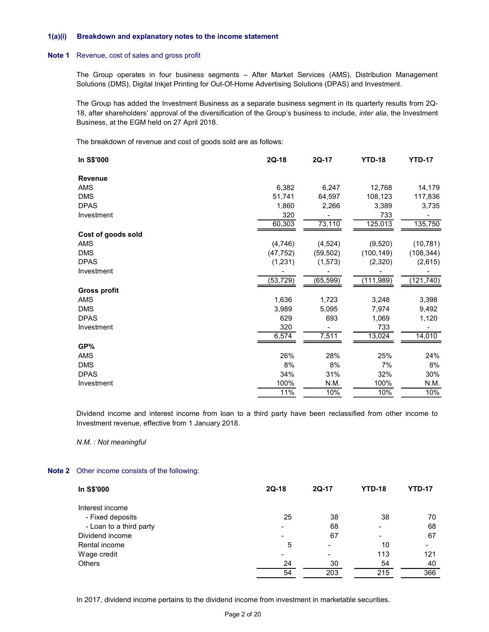#### 1(a)(i) Breakdown and explanatory notes to the income statement

#### Note 1 Revenue, cost of sales and gross profit

| a)(i) | Breakdown and explanatory notes to the income statement                                                                                                                                                                                                                               |                          |                          |                |               |
|-------|---------------------------------------------------------------------------------------------------------------------------------------------------------------------------------------------------------------------------------------------------------------------------------------|--------------------------|--------------------------|----------------|---------------|
| pte 1 | Revenue, cost of sales and gross profit                                                                                                                                                                                                                                               |                          |                          |                |               |
|       | The Group operates in four business segments - After Market Services (AMS), Distribution Management                                                                                                                                                                                   |                          |                          |                |               |
|       | Solutions (DMS), Digital Inkjet Printing for Out-Of-Home Advertising Solutions (DPAS) and Investment.                                                                                                                                                                                 |                          |                          |                |               |
|       | The Group has added the Investment Business as a separate business segment in its quarterly results from 2Q-<br>18, after shareholders' approval of the diversification of the Group's business to include, inter alia, the Investment<br>Business, at the EGM held on 27 April 2018. |                          |                          |                |               |
|       | The breakdown of revenue and cost of goods sold are as follows:                                                                                                                                                                                                                       |                          |                          |                |               |
|       | In S\$'000                                                                                                                                                                                                                                                                            | $2Q-18$                  | 2Q-17                    | <b>YTD-18</b>  | <b>YTD-17</b> |
|       | <b>Revenue</b>                                                                                                                                                                                                                                                                        |                          |                          |                |               |
|       | AMS                                                                                                                                                                                                                                                                                   | 6,382                    | 6,247                    | 12,768         | 14,179        |
|       | <b>DMS</b>                                                                                                                                                                                                                                                                            | 51,741                   | 64,597                   | 108,123        | 117,836       |
|       | <b>DPAS</b>                                                                                                                                                                                                                                                                           | 1,860                    | 2,266                    | 3,389          | 3,735         |
|       | Investment                                                                                                                                                                                                                                                                            | 320<br>60,303            | $\blacksquare$<br>73,110 | 733<br>125,013 | 135,750       |
|       | Cost of goods sold                                                                                                                                                                                                                                                                    |                          |                          |                |               |
|       | AMS                                                                                                                                                                                                                                                                                   | (4,746)                  | (4, 524)                 | (9,520)        | (10, 781)     |
|       | <b>DMS</b>                                                                                                                                                                                                                                                                            | (47, 752)                | (59, 502)                | (100, 149)     | (108, 344)    |
|       | <b>DPAS</b>                                                                                                                                                                                                                                                                           | (1, 231)                 | (1, 573)                 | (2,320)        | (2,615)       |
|       | Investment                                                                                                                                                                                                                                                                            | (53, 729)                | (65, 599)                | (111,989)      | (121, 740)    |
|       | <b>Gross profit</b>                                                                                                                                                                                                                                                                   |                          |                          |                |               |
|       | AMS                                                                                                                                                                                                                                                                                   | 1,636                    | 1,723                    | 3,248          | 3,398         |
|       | <b>DMS</b>                                                                                                                                                                                                                                                                            | 3,989                    | 5,095                    | 7,974          | 9,492         |
|       |                                                                                                                                                                                                                                                                                       |                          | 693                      |                |               |
|       | <b>DPAS</b>                                                                                                                                                                                                                                                                           | 629                      |                          | 1,069          | 1,120         |
|       | Investment                                                                                                                                                                                                                                                                            | 320<br>6,574             | 7,511                    | 733<br>13,024  | 14,010        |
|       | GP%                                                                                                                                                                                                                                                                                   |                          |                          |                |               |
|       | AMS                                                                                                                                                                                                                                                                                   | 26%                      | 28%                      | 25%            | 24%           |
|       | <b>DMS</b>                                                                                                                                                                                                                                                                            | 8%                       | 8%                       | 7%             | 8%            |
|       |                                                                                                                                                                                                                                                                                       |                          |                          |                |               |
|       |                                                                                                                                                                                                                                                                                       |                          |                          |                |               |
|       |                                                                                                                                                                                                                                                                                       | 11%                      | 10%                      | 10%            | 10%           |
|       | <b>DPAS</b><br>Investment                                                                                                                                                                                                                                                             | 34%<br>100%              | 31%<br>N.M.              | 32%<br>100%    | 30%<br>N.M.   |
|       | Dividend income and interest income from loan to a third party have been reclassified from other income to                                                                                                                                                                            |                          |                          |                |               |
|       | Investment revenue, effective from 1 January 2018.                                                                                                                                                                                                                                    |                          |                          |                |               |
|       | N.M. : Not meaningful                                                                                                                                                                                                                                                                 |                          |                          |                |               |
|       | ote 2 Other income consists of the following:                                                                                                                                                                                                                                         |                          |                          |                |               |
|       | In S\$'000                                                                                                                                                                                                                                                                            | 2Q-18                    | 2Q-17                    | <b>YTD-18</b>  | <b>YTD-17</b> |
|       | Interest income                                                                                                                                                                                                                                                                       |                          |                          |                |               |
|       | - Fixed deposits                                                                                                                                                                                                                                                                      | 25                       | 38                       | 38             | 70            |
|       |                                                                                                                                                                                                                                                                                       |                          |                          |                |               |
|       | - Loan to a third party                                                                                                                                                                                                                                                               | $\overline{\phantom{a}}$ | 68<br>67                 | $\blacksquare$ | 68<br>67      |
|       | Dividend income                                                                                                                                                                                                                                                                       |                          |                          |                |               |

#### Note 2 Other income consists of the following:

| DMS                                     | 3,989 | 5,095 | 7,974         | 9,492         |
|-----------------------------------------|-------|-------|---------------|---------------|
| <b>DPAS</b>                             | 629   | 693   | 1,069         | 1,120         |
| Investment                              | 320   |       | 733           |               |
|                                         | 6,574 | 7,511 | 13,024        | 14,010        |
| GP%                                     |       |       |               |               |
| AMS                                     | 26%   | 28%   | 25%           | 24%           |
| <b>DMS</b>                              | 8%    | 8%    | 7%            | 8%            |
| <b>DPAS</b>                             | 34%   | 31%   | 32%           | 30%           |
| Investment                              | 100%  | N.M.  | 100%          | N.M.          |
|                                         | 11%   | 10%   | 10%           | 10%           |
|                                         |       |       |               |               |
| Other income consists of the following: |       |       |               |               |
| In S\$'000                              | 2Q-18 | 2Q-17 | <b>YTD-18</b> | <b>YTD-17</b> |
| Interest income                         |       |       |               |               |
| - Fixed deposits                        | 25    | 38    | 38            | 70            |
| - Loan to a third party                 |       | 68    |               | 68            |
| Dividend income                         |       | 67    |               | 67            |
| Rental income                           | 5     |       | 10            |               |
| Wage credit                             |       |       | 113           | 121           |
| Others                                  | 24    | 30    | 54            | 40            |
|                                         | 54    | 203   | 215           | 366           |
|                                         |       |       |               |               |

In 2017, dividend income pertains to the dividend income from investment in marketable securities.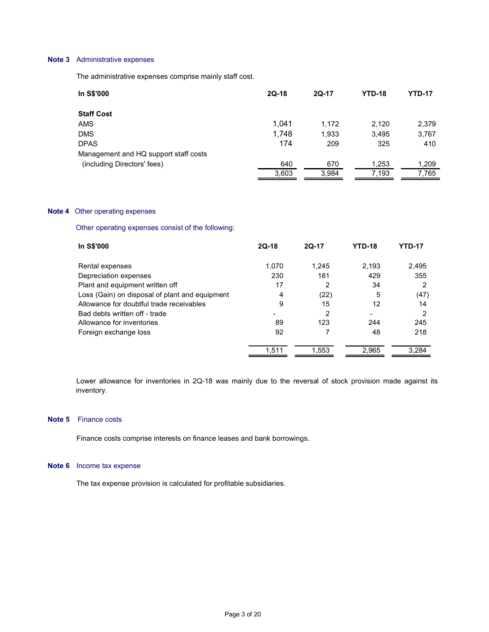# Note 3 Administrative expenses

| <b>Administrative expenses</b>                          |              |                |                |                        |
|---------------------------------------------------------|--------------|----------------|----------------|------------------------|
| The administrative expenses comprise mainly staff cost. |              |                |                |                        |
| In S\$'000                                              | $2Q-18$      | 2Q-17          | <b>YTD-18</b>  | <b>YTD-17</b>          |
| <b>Staff Cost</b>                                       |              |                |                |                        |
| AMS                                                     | 1,041        | 1,172          | 2,120          | 2,379                  |
| <b>DMS</b>                                              | 1,748        | 1,933          | 3,495          | 3,767                  |
| <b>DPAS</b>                                             | 174          | 209            | 325            | 410                    |
| Management and HQ support staff costs                   |              |                |                |                        |
| (including Directors' fees)                             | 640<br>3,603 | 670<br>3,984   | 1,253<br>7,193 | 1,209<br>7,765         |
|                                                         |              |                |                |                        |
| Other operating expenses                                |              |                |                |                        |
| Other operating expenses consist of the following:      |              |                |                |                        |
| In S\$'000                                              | $2Q-18$      | 2Q-17          | <b>YTD-18</b>  | <b>YTD-17</b>          |
| Rental expenses                                         | 1,070        | 1,245          | 2,193          | 2,495                  |
| Depreciation expenses                                   | 230          | 181            | 429            | 355                    |
| Plant and equipment written off                         | 17           | $\overline{2}$ | 34             | $\overline{2}$<br>(47) |
| Loss (Gain) on disposal of plant and equipment          | 4            | (22)           | 5              |                        |

# Note 4 Other operating expenses

| 1,041 | 1,172          | 2,120         | 2,379          |
|-------|----------------|---------------|----------------|
| 1,748 | 1,933          | 3,495         | 3,767          |
| 174   | 209            | 325           | 410            |
|       |                |               |                |
|       |                |               | 1,209          |
| 3,603 | 3,984          |               | 7,765          |
|       |                |               |                |
|       |                |               |                |
|       |                |               |                |
| 2Q-18 | 2Q-17          | <b>YTD-18</b> | <b>YTD-17</b>  |
| 1,070 | 1,245          | 2,193         | 2,495          |
| 230   | 181            | 429           | 355            |
| 17    | 2              | 34            | 2              |
| 4     | (22)           | 5             | (47)           |
| 9     | 15             | 12            | 14             |
|       | $\overline{2}$ |               | 2              |
| 89    | 123            | 244           | 245            |
| 92    | $\overline{7}$ | 48            | 218            |
|       |                |               |                |
|       | 640            | 670           | 1,253<br>7,193 |

Lower allowance for inventories in 2Q-18 was mainly due to the reversal of stock provision made against its inventory.

#### Note 5 Finance costs

Finance costs comprise interests on finance leases and bank borrowings.

#### Note 6 Income tax expense

The tax expense provision is calculated for profitable subsidiaries.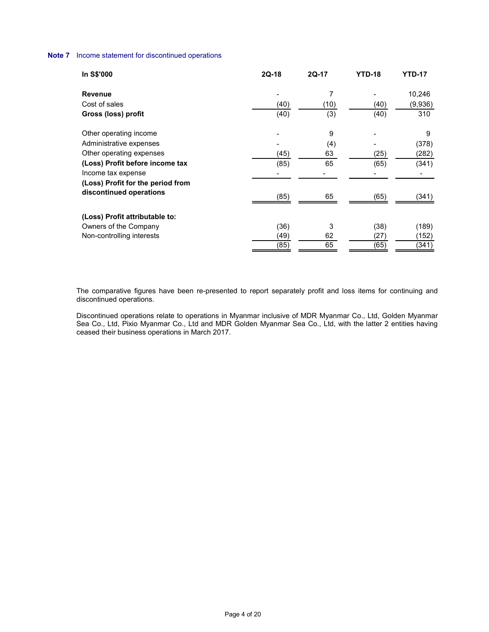# Note 7 Income statement for discontinued operations

| ncome statement for discontinued operations       |                     |                  |                            |                       |
|---------------------------------------------------|---------------------|------------------|----------------------------|-----------------------|
| In S\$'000                                        | $2Q-18$             | 2Q-17            | <b>YTD-18</b>              | <b>YTD-17</b>         |
| Revenue                                           | $\qquad \qquad$     | $\boldsymbol{7}$ | $\blacksquare$             | 10,246                |
| Cost of sales                                     | (40)                | (10)             | (40)                       | (9,936)               |
| Gross (loss) profit                               | (40)                | (3)              | (40)                       | 310                   |
|                                                   |                     | $\boldsymbol{9}$ |                            | 9                     |
|                                                   |                     |                  |                            |                       |
| Other operating income<br>Administrative expenses |                     |                  |                            |                       |
| Other operating expenses                          | (45)                | (4)<br>63        | (25)                       | (378)<br>(282)        |
| (Loss) Profit before income tax                   | (85)                | 65               | (65)                       | (341)                 |
| Income tax expense                                | $\qquad \qquad$     | $\blacksquare$   | $\blacksquare$             | $\blacksquare$        |
| (Loss) Profit for the period from                 |                     |                  |                            |                       |
| discontinued operations                           | (85)                | 65               | (65)                       | (341)                 |
|                                                   |                     |                  |                            |                       |
| (Loss) Profit attributable to:                    |                     |                  |                            |                       |
| Owners of the Company                             | (36)                | 3                |                            | (189)                 |
| Non-controlling interests                         | $\frac{(49)}{(85)}$ | $\frac{62}{65}$  | $(38)$<br>$(27)$<br>$(65)$ | $\frac{(152)}{(341)}$ |

 The comparative figures have been re-presented to report separately profit and loss items for continuing and discontinued operations.

 Discontinued operations relate to operations in Myanmar inclusive of MDR Myanmar Co., Ltd, Golden Myanmar Sea Co., Ltd, Pixio Myanmar Co., Ltd and MDR Golden Myanmar Sea Co., Ltd, with the latter 2 entities having ceased their business operations in March 2017.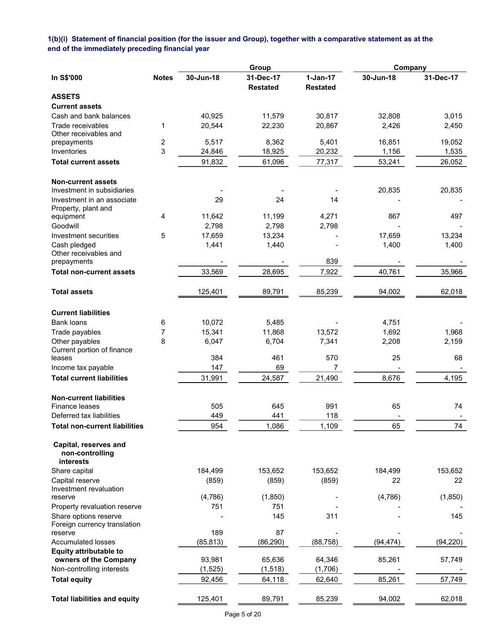# 1(b)(i) Statement of financial position (for the issuer and Group), together with a comparative statement as at the end of the immediately preceding financial year

|                                                       |              |           | Group                        |                               | Company   |           |
|-------------------------------------------------------|--------------|-----------|------------------------------|-------------------------------|-----------|-----------|
| In S\$'000                                            | <b>Notes</b> | 30-Jun-18 | 31-Dec-17<br><b>Restated</b> | $1-Jan-17$<br><b>Restated</b> | 30-Jun-18 | 31-Dec-17 |
| <b>ASSETS</b>                                         |              |           |                              |                               |           |           |
| <b>Current assets</b>                                 |              |           |                              |                               |           |           |
| Cash and bank balances                                |              | 40,925    | 11,579                       | 30,817                        | 32,808    | 3,015     |
| Trade receivables                                     | 1            | 20,544    | 22,230                       | 20,867                        | 2,426     | 2,450     |
| Other receivables and                                 | 2            | 5,517     | 8,362                        | 5,401                         | 16,851    | 19,052    |
| prepayments<br>Inventories                            | 3            | 24,846    | 18,925                       | 20,232                        | 1,156     | 1,535     |
| <b>Total current assets</b>                           |              | 91,832    | 61,096                       | 77,317                        | 53,241    | 26,052    |
|                                                       |              |           |                              |                               |           |           |
| <b>Non-current assets</b>                             |              |           |                              |                               |           |           |
| Investment in subsidiaries                            |              |           |                              |                               | 20,835    | 20,835    |
| Investment in an associate<br>Property, plant and     |              | 29        | 24                           | 14                            |           |           |
| equipment                                             | 4            | 11,642    | 11,199                       | 4,271                         | 867       | 497       |
| Goodwill                                              |              | 2,798     | 2,798                        | 2,798                         |           |           |
| Investment securities                                 | 5            | 17,659    | 13,234                       |                               | 17,659    | 13,234    |
| Cash pledged                                          |              | 1,441     | 1,440                        |                               | 1,400     | 1,400     |
| Other receivables and                                 |              |           |                              |                               |           |           |
| prepayments                                           |              |           |                              | 839                           |           |           |
| <b>Total non-current assets</b>                       |              | 33,569    | 28,695                       | 7,922                         | 40,761    | 35,966    |
| <b>Total assets</b>                                   |              | 125,401   | 89,791                       | 85,239                        | 94,002    | 62,018    |
| <b>Current liabilities</b>                            |              |           |                              |                               |           |           |
| <b>Bank loans</b>                                     | 6            | 10,072    | 5,485                        |                               | 4,751     |           |
| Trade payables                                        | 7            | 15,341    | 11,868                       | 13,572                        | 1,692     | 1,968     |
| Other payables                                        | 8            | 6,047     | 6,704                        | 7,341                         | 2,208     | 2,159     |
| Current portion of finance<br>leases                  |              | 384       | 461                          | 570                           | 25        | 68        |
| Income tax payable                                    |              | 147       | 69                           | 7                             |           |           |
| <b>Total current liabilities</b>                      |              | 31,991    | 24,587                       | 21,490                        | 8,676     | 4,195     |
|                                                       |              |           |                              |                               |           |           |
| <b>Non-current liabilities</b>                        |              |           |                              |                               |           |           |
| <b>Finance leases</b><br>Deferred tax liabilities     |              | 505       | 645                          | 991                           | 65        | 74        |
|                                                       |              | 449       | 441                          | 118                           |           |           |
| <b>Total non-current liabilities</b>                  |              | 954       | 1,086                        | 1,109                         | 65        | 74        |
| Capital, reserves and<br>non-controlling<br>interests |              |           |                              |                               |           |           |
| Share capital                                         |              | 184,499   | 153,652                      | 153,652                       | 184,499   | 153,652   |
| Capital reserve                                       |              | (859)     | (859)                        | (859)                         | 22        | 22        |
| Investment revaluation                                |              |           |                              |                               |           |           |
| reserve                                               |              | (4,786)   | (1,850)                      |                               | (4,786)   | (1,850)   |
| Property revaluation reserve                          |              | 751       | 751                          |                               |           |           |
| Share options reserve<br>Foreign currency translation |              |           | 145                          | 311                           |           | 145       |
| reserve                                               |              | 189       | 87                           |                               |           |           |
| <b>Accumulated losses</b>                             |              | (85, 813) | (86, 290)                    | (88, 758)                     | (94, 474) | (94, 220) |
| <b>Equity attributable to</b>                         |              |           |                              |                               |           |           |
| owners of the Company                                 |              | 93,981    | 65,636                       | 64,346                        | 85,261    | 57,749    |
| Non-controlling interests                             |              | (1, 525)  | (1, 518)                     | (1,706)                       |           |           |
| <b>Total equity</b>                                   |              | 92,456    | 64,118                       | 62,640                        | 85,261    | 57,749    |
| <b>Total liabilities and equity</b>                   |              | 125,401   | 89,791                       | 85,239                        | 94,002    | 62,018    |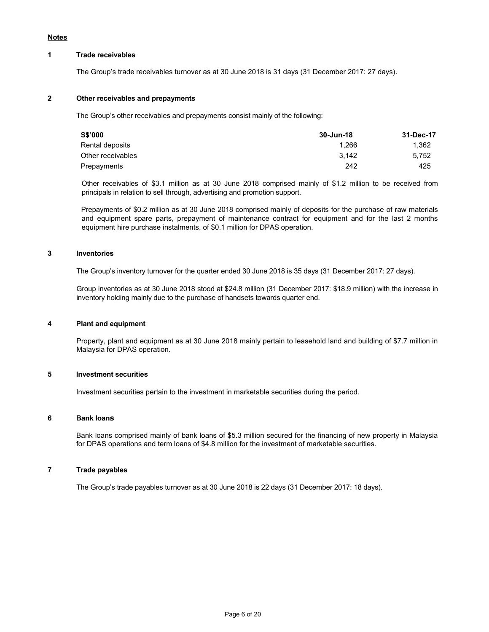#### Notes

#### 1 Trade receivables

The Group's trade receivables turnover as at 30 June 2018 is 31 days (31 December 2017: 27 days).

#### 2 Other receivables and prepayments

The Group's other receivables and prepayments consist mainly of the following:

|       | 31-Dec-17 |
|-------|-----------|
| 1.266 | 1.362     |
| 3.142 | 5.752     |
| 242   | 425       |
|       | 30-Jun-18 |

Other receivables of \$3.1 million as at 30 June 2018 comprised mainly of \$1.2 million to be received from principals in relation to sell through, advertising and promotion support.

Prepayments of \$0.2 million as at 30 June 2018 comprised mainly of deposits for the purchase of raw materials and equipment spare parts, prepayment of maintenance contract for equipment and for the last 2 months equipment hire purchase instalments, of \$0.1 million for DPAS operation.

#### 3 Inventories

The Group's inventory turnover for the quarter ended 30 June 2018 is 35 days (31 December 2017: 27 days).

 Group inventories as at 30 June 2018 stood at \$24.8 million (31 December 2017: \$18.9 million) with the increase in inventory holding mainly due to the purchase of handsets towards quarter end.

#### 4 Plant and equipment

 Property, plant and equipment as at 30 June 2018 mainly pertain to leasehold land and building of \$7.7 million in Malaysia for DPAS operation.

## 5 Investment securities

Investment securities pertain to the investment in marketable securities during the period.

#### 6 Bank loans

Bank loans comprised mainly of bank loans of \$5.3 million secured for the financing of new property in Malaysia for DPAS operations and term loans of \$4.8 million for the investment of marketable securities.

# 7 Trade payables

The Group's trade payables turnover as at 30 June 2018 is 22 days (31 December 2017: 18 days).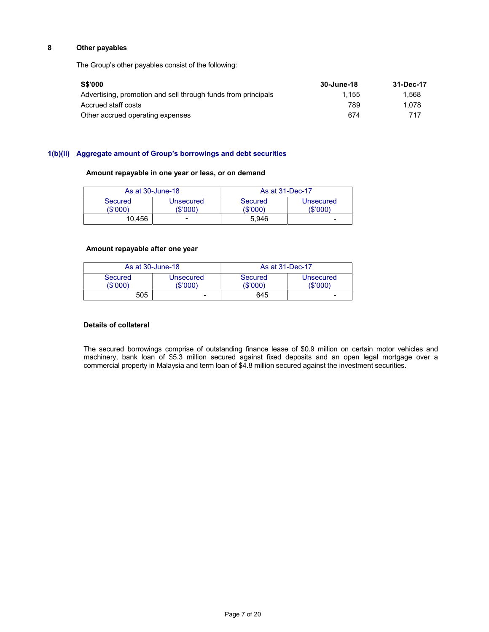# 8 Other payables

The Group's other payables consist of the following:

| <b>S\$'000</b>                                                | 30-June-18 | 31-Dec-17 |
|---------------------------------------------------------------|------------|-----------|
| Advertising, promotion and sell through funds from principals | 1.155      | 1.568     |
| Accrued staff costs                                           | 789        | 1.078     |
| Other accrued operating expenses                              | 674        | 717       |

# 1(b)(ii) Aggregate amount of Group's borrowings and debt securities

# Amount repayable in one year or less, or on demand

| As at 30-June-18    |                       |                     | As at 31-Dec-17       |
|---------------------|-----------------------|---------------------|-----------------------|
| Secured<br>(\$'000) | Unsecured<br>(\$'000` | Secured<br>(\$'000) | Unsecured<br>(\$'000) |
| 10.456              | -                     | 5.946               |                       |

#### Amount repayable after one year

|                     | As at 30-June-18      |                    | As at 31-Dec-17       |
|---------------------|-----------------------|--------------------|-----------------------|
| Secured<br>(\$'000) | Unsecured<br>(\$'000) | Secured<br>'\$'000 | Unsecured<br>(\$'000) |
| 505                 | -                     | 645                |                       |

# Details of collateral

The secured borrowings comprise of outstanding finance lease of \$0.9 million on certain motor vehicles and machinery, bank loan of \$5.3 million secured against fixed deposits and an open legal mortgage over a commercial property in Malaysia and term loan of \$4.8 million secured against the investment securities.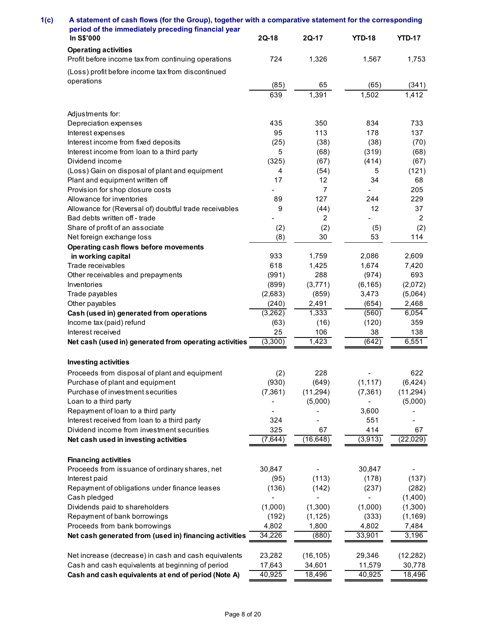| A statement of cash flows (for the Group), together with a comparative statement for the corresponding<br>period of the immediately preceding financial year |                      |                  |                   |                    |
|--------------------------------------------------------------------------------------------------------------------------------------------------------------|----------------------|------------------|-------------------|--------------------|
| In S\$'000<br><b>Operating activities</b>                                                                                                                    | $2Q-18$              | 2Q-17            | <b>YTD-18</b>     | <b>YTD-17</b>      |
| Profit before income tax from continuing operations                                                                                                          | 724                  | 1,326            | 1,567             | 1,753              |
| (Loss) profit before income tax from discontinued<br>operations                                                                                              |                      |                  |                   |                    |
|                                                                                                                                                              | (85)<br>639          | 65<br>1,391      | (65)<br>1,502     | (341)<br>1,412     |
| Adjustments for:                                                                                                                                             |                      |                  |                   |                    |
| Depreciation expenses                                                                                                                                        | 435                  | 350              | 834               | 733                |
| Interest expenses<br>Interest income from fixed deposits                                                                                                     | 95<br>(25)           | 113<br>(38)      | 178<br>(38)       | 137<br>(70)        |
| Interest income from loan to a third party                                                                                                                   | 5                    | (68)             | (319)             | (68)               |
| Dividend income                                                                                                                                              | (325)                | (67)             | (414)             | (67)               |
| (Loss) Gain on disposal of plant and equipment<br>Plant and equipment written off                                                                            | $\overline{4}$<br>17 | (54)<br>12       | 5<br>34           | (121)<br>68        |
| Provision for shop closure costs                                                                                                                             |                      |                  | $\blacksquare$    | 205                |
| Allowance for inventories                                                                                                                                    | 89                   | 127              | 244               | 229                |
| Allowance for (Reversal of) doubtful trade receivables<br>Bad debts written off - trade                                                                      | 9                    | (44)<br>2        | 12                | 37<br>2            |
| Share of profit of an associate                                                                                                                              | (2)                  | (2)              | (5)               | (2)                |
| Net foreign exchange loss                                                                                                                                    | (8)                  | 30               | 53                | 114                |
| Operating cash flows before movements<br>in working capital                                                                                                  | 933                  | 1,759            | 2,086             | 2,609              |
| Trade receivables                                                                                                                                            | 618                  | 1,425            | 1,674             | 7,420              |
| Other receivables and prepayments                                                                                                                            | (991)                | 288              | (974)             | 693                |
| Inventories<br>Trade payables                                                                                                                                | (899)<br>(2,683)     | (3,771)<br>(859) | (6, 165)<br>3,473 | (2,072)<br>(5,064) |
| Other payables                                                                                                                                               | (240)                | 2,491            | (654)             | 2,468              |
| Cash (used in) generated from operations                                                                                                                     | (3,262)              | 1,333            | (560)             | 6,054              |
| Income tax (paid) refund                                                                                                                                     | (63)<br>25           | (16)<br>106      | (120)             | 359                |
| Interest received<br>Net cash (used in) generated from operating activities                                                                                  | (3,300)              | 1,423            | 38<br>(642)       | 138<br>6,551       |
|                                                                                                                                                              |                      |                  |                   |                    |
| <b>Investing activities</b><br>Proceeds from disposal of plant and equipment                                                                                 | (2)                  | 228              |                   | 622                |
| Purchase of plant and equipment                                                                                                                              | (930)                | (649)            | (1, 117)          | (6, 424)           |
| Purchase of investment securities                                                                                                                            | (7, 361)             | (11, 294)        | (7, 361)          | (11, 294)          |
| Loan to a third party<br>Repayment of loan to a third party                                                                                                  |                      | (5,000)          | 3,600             | (5,000)            |
| Interest received from loan to a third party                                                                                                                 | 324                  | $\blacksquare$   | 551               |                    |
| Dividend income from investment securities                                                                                                                   | 325                  | 67               | 414               | 67                 |
| Net cash used in investing activities                                                                                                                        | (7, 644)             | (16, 648)        | (3,913)           | (22,029)           |
| <b>Financing activities</b><br>Proceeds from issuance of ordinary shares, net                                                                                | 30,847               | $\blacksquare$   | 30,847            |                    |
| Interest paid                                                                                                                                                | (95)                 | (113)            | (178)             | (137)              |
| Repayment of obligations under finance leases                                                                                                                | (136)                | (142)            | (237)             | (282)              |
| Cash pledged<br>Dividends paid to shareholders                                                                                                               | (1,000)              | (1,300)          | (1,000)           | (1,400)<br>(1,300) |
| Repayment of bank borrowings                                                                                                                                 | (192)                | (1, 125)         | (333)             | (1, 169)           |
| Proceeds from bank borrowings                                                                                                                                | 4,802                | 1,800            | 4,802             | 7,484              |
| Net cash generated from (used in) financing activities                                                                                                       | 34,226               | (880)            | 33,901            | 3,196              |
| Net increase (decrease) in cash and cash equivalents                                                                                                         | 23,282               | (16, 105)        | 29,346            | (12, 282)          |
| Cash and cash equivalents at beginning of period                                                                                                             | 17,643               | 34,601<br>18,496 | 11,579<br>40,925  | 30,778             |
| Cash and cash equivalents at end of period (Note A)                                                                                                          | 40,925               |                  |                   | 18,496             |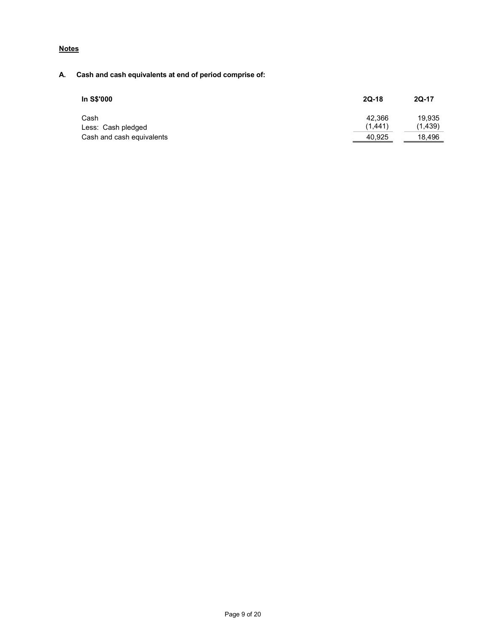# **Notes**

# A. Cash and cash equivalents at end of period comprise of:

| In S\$'000                | $2Q-18$ | 2Q-17    |
|---------------------------|---------|----------|
| Cash                      | 42.366  | 19.935   |
| Less: Cash pledged        | (1.441) | (1, 439) |
| Cash and cash equivalents | 40,925  | 18,496   |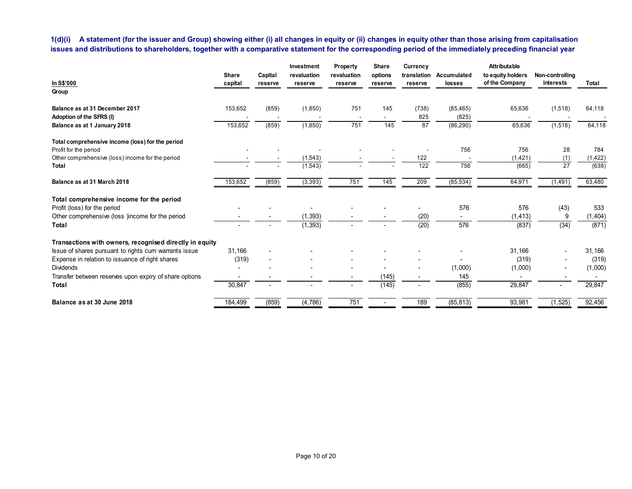| 1(d)(i) A statement (for the issuer and Group) showing either (i) all changes in equity or (ii) changes in equity other than those arising from capitalisation<br>issues and distributions to shareholders, together with a comparative statement for the corresponding period of the immediately preceding financial year |                          |         |                           |                         |                  |                          |                          |                                                     |                              |                   |
|----------------------------------------------------------------------------------------------------------------------------------------------------------------------------------------------------------------------------------------------------------------------------------------------------------------------------|--------------------------|---------|---------------------------|-------------------------|------------------|--------------------------|--------------------------|-----------------------------------------------------|------------------------------|-------------------|
| In S\$'000                                                                                                                                                                                                                                                                                                                 | Share                    | Capital | Investment<br>revaluation | Property<br>revaluation | Share<br>options | Currency<br>translation  | Accumulated              | Attributable<br>to equity holders<br>of the Company | Non-controlling<br>interests | Total             |
| Group                                                                                                                                                                                                                                                                                                                      | capital                  | reserve | reserve                   | reserve                 | reserve          | reserve                  | losses                   |                                                     |                              |                   |
| Balance as at 31 December 2017<br>Adoption of the SFRS (I)                                                                                                                                                                                                                                                                 | 153,652                  | (859)   | (1,850)<br>$\sim$         | 751<br>$\sim$           | 145<br>$\sim$    | (738)<br>825             | (85, 465)<br>(825)       | 65,636<br>$\sim$                                    | (1,518)                      | 64,118            |
| Balance as at 1 January 2018                                                                                                                                                                                                                                                                                               | 153,652                  | (859)   | (1,850)                   | 751                     | $\frac{145}{ }$  | 87                       | (86,290)                 | 65,636                                              | (1, 518)                     | 64,118            |
| Total comprehensive income (loss) for the period                                                                                                                                                                                                                                                                           |                          |         |                           |                         |                  |                          |                          |                                                     |                              |                   |
| Profit for the period                                                                                                                                                                                                                                                                                                      |                          |         |                           |                         |                  | $\overline{\phantom{a}}$ | 756                      | 756                                                 | 28                           | 784               |
| Other comprehensive (loss) income for the period<br>Total                                                                                                                                                                                                                                                                  |                          |         | (1, 543)<br>(1, 543)      |                         |                  | $122$<br>122             | 756                      | (1,421)<br>(665)                                    | (1)<br>27                    | (1, 422)<br>(638) |
| Balance as at 31 March 2018                                                                                                                                                                                                                                                                                                | 153,652                  | (859)   | (3, 393)                  | 751                     | 145              | 209                      | (85, 534)                | 64,971                                              | (1, 491)                     | 63,480            |
|                                                                                                                                                                                                                                                                                                                            |                          |         |                           |                         |                  |                          |                          |                                                     |                              |                   |
| Total comprehensive income for the period<br>Profit (loss) for the period                                                                                                                                                                                                                                                  |                          |         |                           |                         |                  |                          | 576                      | 576                                                 | (43)                         | 533               |
|                                                                                                                                                                                                                                                                                                                            |                          |         | (1, 393)                  |                         |                  | (20)                     | $\overline{\phantom{a}}$ | (1, 413)                                            | 9                            | (1, 404)          |
|                                                                                                                                                                                                                                                                                                                            |                          |         | (1, 393)                  |                         |                  | (20)                     | 576                      | (837)                                               | (34)                         | (871)             |
| Other comprehensive (loss )income for the period<br><b>Total</b>                                                                                                                                                                                                                                                           |                          |         |                           |                         |                  |                          |                          |                                                     |                              |                   |
| Transactions with owners, recognised directly in equity                                                                                                                                                                                                                                                                    |                          |         |                           |                         |                  |                          |                          | 31,166                                              |                              | 31,166            |
| Issue of shares pursuant to rights cum warrants issue                                                                                                                                                                                                                                                                      | 31,166                   |         |                           |                         |                  |                          | $\overline{\phantom{a}}$ | (319)                                               |                              | (319)             |
| Expense in relation to issuance of right shares                                                                                                                                                                                                                                                                            | (319)                    |         |                           |                         |                  |                          |                          |                                                     |                              |                   |
| Dividends                                                                                                                                                                                                                                                                                                                  | $\overline{\phantom{a}}$ |         |                           |                         |                  |                          | (1,000)                  | (1,000)                                             |                              | (1,000)           |
| Transfer between reserves upon expiry of share options<br>Total                                                                                                                                                                                                                                                            | $\sim$<br>30,847         |         |                           |                         | (145)<br>(145)   |                          | 145<br>(855)             | $\sim$<br>29,847                                    |                              | $\sim$<br>29,847  |
| Balance as at 30 June 2018                                                                                                                                                                                                                                                                                                 | 184,499                  | (859)   | (4, 786)                  | 751                     |                  | 189                      | (85, 813)                | 93,981                                              | (1, 525)                     | 92,456            |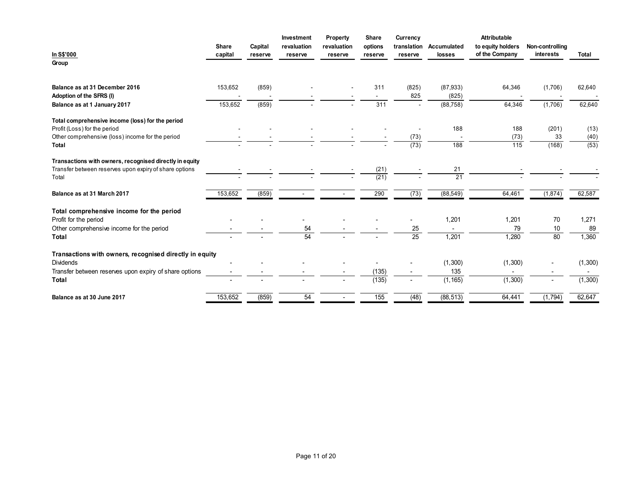|                                                                                  | Share                               | Capital                           | Investment<br>revaluation | Property<br>revaluation  | Share<br>options         | Currency<br>translation | Accumulated        | Attributable<br>to equity holders | Non-controlling          |              |
|----------------------------------------------------------------------------------|-------------------------------------|-----------------------------------|---------------------------|--------------------------|--------------------------|-------------------------|--------------------|-----------------------------------|--------------------------|--------------|
| In S\$'000                                                                       | capital                             | reserve                           | reserve                   | reserve                  | reserve                  | reserve                 | losses             | of the Company                    | interests                | Total        |
| Group                                                                            |                                     |                                   |                           |                          |                          |                         |                    |                                   |                          |              |
| Balance as at 31 December 2016                                                   | 153,652                             | (859)                             |                           |                          | 311                      | (825)                   | (87, 933)          | 64,346                            | (1,706)                  | 62,640       |
| Adoption of the SFRS (I)                                                         | $\overline{\phantom{a}}$<br>153,652 | $\overline{\phantom{a}}$<br>(859) |                           |                          | 311                      | 825                     | (825)<br>(88, 758) | $\sim$<br>64,346                  | (1,706)                  | 62,640       |
| Balance as at 1 January 2017                                                     |                                     |                                   |                           |                          |                          |                         |                    |                                   |                          |              |
| Total comprehensive income (loss) for the period<br>Profit (Loss) for the period |                                     |                                   |                           |                          |                          |                         | 188                | 188                               | (201)                    |              |
| Other comprehensive (loss) income for the period                                 |                                     |                                   |                           |                          |                          | $\sim$<br>(73)          | $\sim$             | (73)                              | 33                       | (13)<br>(40) |
| <b>Total</b>                                                                     |                                     |                                   |                           |                          |                          | (73)                    | 188                | $\overline{115}$                  | (168)                    | (53)         |
| Transactions with owners, recognised directly in equity                          |                                     |                                   |                           |                          |                          |                         |                    |                                   |                          |              |
| Transfer between reserves upon expiry of share options<br>Total                  |                                     |                                   |                           |                          | (21)<br>(21)             |                         | 21<br>21           |                                   |                          |              |
|                                                                                  |                                     |                                   |                           |                          |                          |                         |                    |                                   |                          |              |
| Balance as at 31 March 2017                                                      | 153,652                             | (859)                             | $\sim 100$                | $\sim$                   | 290                      | (73)                    | (88, 549)          | 64,461                            | (1,874)                  | 62,587       |
| Total comprehensive income for the period                                        |                                     |                                   |                           |                          |                          |                         |                    |                                   |                          |              |
| Profit for the period<br>Other comprehensive income for the period               | $\sim$                              | $\overline{\phantom{a}}$          | $\sim$<br>54              | $\overline{\phantom{a}}$ | $\overline{\phantom{a}}$ | $\sim$                  | 1,201              | 1,201<br>79                       | 70<br>10                 | 1,271<br>89  |
| <b>Total</b>                                                                     |                                     |                                   | 54                        |                          |                          | $\frac{25}{25}$         | $\sim$<br>1,201    | 1,280                             | 80                       | 1,360        |
|                                                                                  |                                     |                                   |                           |                          |                          |                         |                    |                                   |                          |              |
| Transactions with owners, recognised directly in equity<br>Dividends             |                                     |                                   |                           |                          | $\sim$                   |                         | (1, 300)           | (1, 300)                          |                          | (1,300)      |
| Transfer between reserves upon expiry of share options                           |                                     |                                   |                           |                          | (135)                    |                         | 135                | $\sim$                            | $\overline{\phantom{a}}$ | $\sim$       |
|                                                                                  |                                     |                                   |                           |                          | (135)                    |                         | (1, 165)           | (1,300)                           | $\sim$                   | (1,300)      |
| Total                                                                            |                                     |                                   |                           |                          |                          |                         |                    |                                   |                          |              |
| Balance as at 30 June 2017                                                       | 153,652                             | (859)                             | 54                        | $\sim$                   | $\overline{155}$         | (48)                    | (88, 513)          | 64,441                            | (1,794)                  | 62,647       |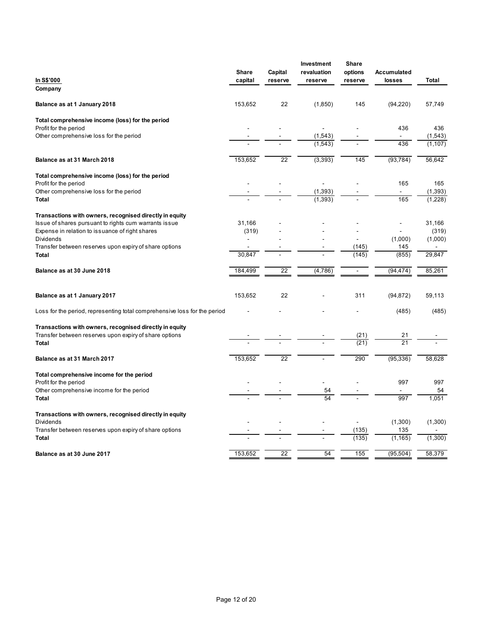| In S\$'000                                                                                                        | Share<br>capital | Capital<br>reserve                                   | Investment<br>revaluation<br>reserve | Share<br>options<br>reserve | <b>Accumulated</b><br>losses | Total            |
|-------------------------------------------------------------------------------------------------------------------|------------------|------------------------------------------------------|--------------------------------------|-----------------------------|------------------------------|------------------|
| Company                                                                                                           |                  |                                                      |                                      |                             |                              |                  |
| Balance as at 1 January 2018                                                                                      | 153,652          | 22                                                   | (1,850)                              | 145                         | (94, 220)                    | 57,749           |
| Total comprehensive income (loss) for the period<br>Profit for the period                                         |                  |                                                      |                                      |                             | 436                          | 436              |
| Other comprehensive loss for the period                                                                           |                  |                                                      | (1, 543)                             |                             | $\sim$                       | (1, 543)         |
|                                                                                                                   |                  | $\sim$                                               | (1, 543)                             | $\sim$                      | 436                          | (1, 107)         |
| Balance as at 31 March 2018                                                                                       | 153,652          | 22                                                   | (3, 393)                             | 145                         | (93, 784)                    | 56,642           |
| Total comprehensive income (loss) for the period                                                                  |                  |                                                      |                                      |                             |                              |                  |
| Profit for the period<br>Other comprehensive loss for the period                                                  |                  | $\sim$                                               | $\sim$<br>(1, 393)                   | $\sim$                      | 165<br>$\sim$ $-$            | 165<br>(1, 393)  |
| <b>Total</b>                                                                                                      |                  | $\blacksquare$                                       | (1, 393)                             |                             | 165                          | (1,228)          |
| Transactions with owners, recognised directly in equity                                                           |                  |                                                      |                                      |                             |                              |                  |
| Issue of shares pursuant to rights cum warrants issue<br>Expense in relation to issuance of right shares          | 31,166<br>(319)  |                                                      |                                      |                             | $\sim$                       | 31,166<br>(319)  |
| Dividends                                                                                                         | $\blacksquare$   |                                                      |                                      | $\sim$                      | (1,000)                      | (1,000)          |
| Transfer between reserves upon expiry of share options                                                            | $\sim$<br>30,847 | $\overline{\phantom{a}}$<br>$\overline{\phantom{a}}$ |                                      | (145)<br>(145)              | 145<br>(855)                 | $\sim$<br>29,847 |
| Total                                                                                                             |                  |                                                      |                                      |                             |                              |                  |
| Balance as at 30 June 2018                                                                                        | 184,499          | 22                                                   | (4,786)                              | $\sim$                      | (94, 474)                    | 85,261           |
| Balance as at 1 January 2017                                                                                      | 153,652          | 22                                                   |                                      | 311                         | (94, 872)                    | 59,113           |
| Loss for the period, representing total comprehensive loss for the period                                         | $\blacksquare$   |                                                      |                                      |                             | (485)                        | (485)            |
| Transactions with owners, recognised directly in equity<br>Transfer between reserves upon expiry of share options |                  |                                                      |                                      | (21)                        | $21$                         |                  |
| Total                                                                                                             |                  |                                                      |                                      | (21)                        | $\overline{21}$              |                  |
| Balance as at 31 March 2017                                                                                       | 153,652          | 22                                                   |                                      | 290                         | (95, 336)                    | 58,628           |
| Total comprehensive income for the period                                                                         |                  |                                                      |                                      |                             |                              |                  |
| Profit for the period<br>Other comprehensive income for the period                                                |                  |                                                      | 54                                   |                             | 997<br>$\blacksquare$        | 997<br>54        |
| Total                                                                                                             |                  |                                                      | 54                                   |                             | 997                          | 1,051            |
| Transactions with owners, recognised directly in equity                                                           |                  |                                                      |                                      |                             |                              |                  |
| Dividends<br>Transfer between reserves upon expiry of share options                                               |                  |                                                      |                                      | $\sim$<br>(135)             | (1,300)<br>135               | (1,300)          |
| Total                                                                                                             |                  |                                                      |                                      | (135)                       | (1, 165)                     | (1,300)          |
|                                                                                                                   |                  |                                                      |                                      |                             |                              |                  |
| Balance as at 30 June 2017                                                                                        | 153,652          | 22                                                   | 54                                   | 155                         | (95, 504)                    | 58,379           |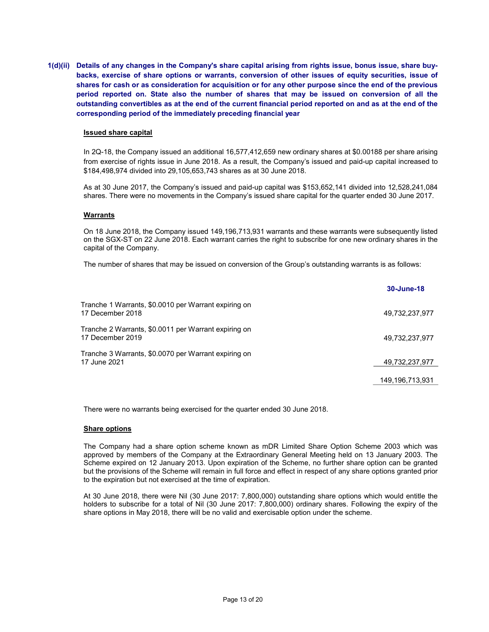1(d)(ii) Details of any changes in the Company's share capital arising from rights issue, bonus issue, share buybacks, exercise of share options or warrants, conversion of other issues of equity securities, issue of shares for cash or as consideration for acquisition or for any other purpose since the end of the previous period reported on. State also the number of shares that may be issued on conversion of all the outstanding convertibles as at the end of the current financial period reported on and as at the end of the corresponding period of the immediately preceding financial year

#### Issued share capital

In 2Q-18, the Company issued an additional 16,577,412,659 new ordinary shares at \$0.00188 per share arising from exercise of rights issue in June 2018. As a result, the Company's issued and paid-up capital increased to \$184,498,974 divided into 29,105,653,743 shares as at 30 June 2018.

As at 30 June 2017, the Company's issued and paid-up capital was \$153,652,141 divided into 12,528,241,084 shares. There were no movements in the Company's issued share capital for the quarter ended 30 June 2017.

#### Warrants

On 18 June 2018, the Company issued 149,196,713,931 warrants and these warrants were subsequently listed on the SGX-ST on 22 June 2018. Each warrant carries the right to subscribe for one new ordinary shares in the capital of the Company.

The number of shares that may be issued on conversion of the Group's outstanding warrants is as follows:

|                                                                          | 30-June-18      |
|--------------------------------------------------------------------------|-----------------|
| Tranche 1 Warrants, \$0.0010 per Warrant expiring on<br>17 December 2018 | 49,732,237,977  |
| Tranche 2 Warrants, \$0.0011 per Warrant expiring on<br>17 December 2019 | 49,732,237,977  |
| Tranche 3 Warrants, \$0.0070 per Warrant expiring on<br>17 June 2021     | 49,732,237,977  |
|                                                                          | 149,196,713,931 |

There were no warrants being exercised for the quarter ended 30 June 2018.

#### Share options

The Company had a share option scheme known as mDR Limited Share Option Scheme 2003 which was approved by members of the Company at the Extraordinary General Meeting held on 13 January 2003. The Scheme expired on 12 January 2013. Upon expiration of the Scheme, no further share option can be granted but the provisions of the Scheme will remain in full force and effect in respect of any share options granted prior to the expiration but not exercised at the time of expiration.

At 30 June 2018, there were Nil (30 June 2017: 7,800,000) outstanding share options which would entitle the holders to subscribe for a total of Nil (30 June 2017: 7,800,000) ordinary shares. Following the expiry of the share options in May 2018, there will be no valid and exercisable option under the scheme.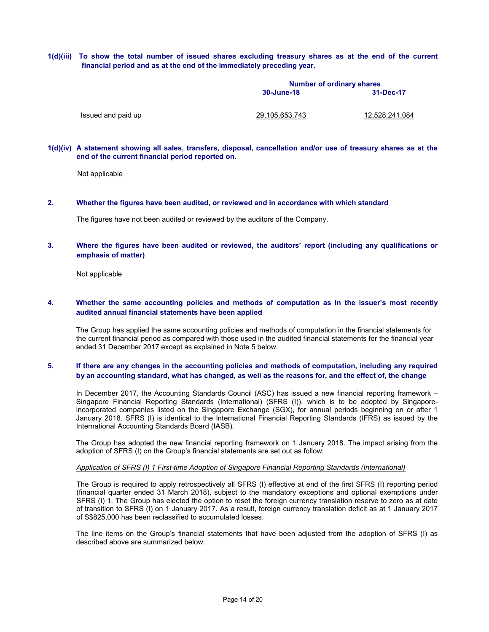1(d)(iii) To show the total number of issued shares excluding treasury shares as at the end of the current financial period and as at the end of the immediately preceding year.

|                    | <b>Number of ordinary shares</b> |                |
|--------------------|----------------------------------|----------------|
|                    | 30-June-18                       | 31-Dec-17      |
|                    |                                  |                |
| Issued and paid up | 29.105.653.743                   | 12.528.241.084 |

#### 1(d)(iv) A statement showing all sales, transfers, disposal, cancellation and/or use of treasury shares as at the end of the current financial period reported on.

Not applicable

#### 2. Whether the figures have been audited, or reviewed and in accordance with which standard

The figures have not been audited or reviewed by the auditors of the Company.

# 3. Where the figures have been audited or reviewed, the auditors' report (including any qualifications or emphasis of matter)

Not applicable

#### 4. Whether the same accounting policies and methods of computation as in the issuer's most recently audited annual financial statements have been applied

The Group has applied the same accounting policies and methods of computation in the financial statements for the current financial period as compared with those used in the audited financial statements for the financial year ended 31 December 2017 except as explained in Note 5 below.

# 5. If there are any changes in the accounting policies and methods of computation, including any required by an accounting standard, what has changed, as well as the reasons for, and the effect of, the change

In December 2017, the Accounting Standards Council (ASC) has issued a new financial reporting framework – Singapore Financial Reporting Standards (International) (SFRS (I)), which is to be adopted by Singaporeincorporated companies listed on the Singapore Exchange (SGX), for annual periods beginning on or after 1 January 2018. SFRS (I) is identical to the International Financial Reporting Standards (IFRS) as issued by the International Accounting Standards Board (IASB).

The Group has adopted the new financial reporting framework on 1 January 2018. The impact arising from the adoption of SFRS (I) on the Group's financial statements are set out as follow:

#### Application of SFRS (I) 1 First-time Adoption of Singapore Financial Reporting Standards (International)

The Group is required to apply retrospectively all SFRS (I) effective at end of the first SFRS (I) reporting period (financial quarter ended 31 March 2018), subject to the mandatory exceptions and optional exemptions under SFRS (I) 1. The Group has elected the option to reset the foreign currency translation reserve to zero as at date of transition to SFRS (I) on 1 January 2017. As a result, foreign currency translation deficit as at 1 January 2017 of S\$825,000 has been reclassified to accumulated losses.

The line items on the Group's financial statements that have been adjusted from the adoption of SFRS (I) as described above are summarized below: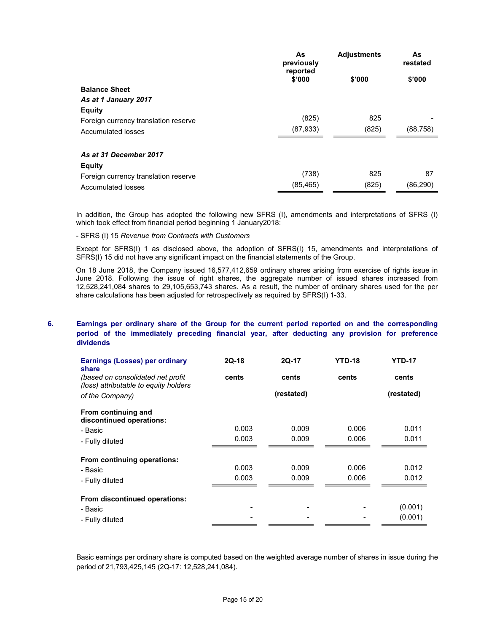|                                      | As<br>previously<br>reported | <b>Adjustments</b> | As<br>restated |
|--------------------------------------|------------------------------|--------------------|----------------|
|                                      | \$'000                       | \$'000             | \$'000         |
| <b>Balance Sheet</b>                 |                              |                    |                |
| As at 1 January 2017                 |                              |                    |                |
| <b>Equity</b>                        |                              |                    |                |
| Foreign currency translation reserve | (825)                        | 825                |                |
| <b>Accumulated losses</b>            | (87,933)                     | (825)              | (88,758)       |
| As at 31 December 2017               |                              |                    |                |
| <b>Equity</b>                        |                              |                    |                |
| Foreign currency translation reserve | (738)                        | 825                | 87             |
| Accumulated losses                   | (85,465)                     | (825)              | (86,290)       |

In addition, the Group has adopted the following new SFRS (I), amendments and interpretations of SFRS (I) which took effect from financial period beginning 1 January2018:

- SFRS (I) 15 Revenue from Contracts with Customers

Except for SFRS(I) 1 as disclosed above, the adoption of SFRS(I) 15, amendments and interpretations of SFRS(I) 15 did not have any significant impact on the financial statements of the Group.

 On 18 June 2018, the Company issued 16,577,412,659 ordinary shares arising from exercise of rights issue in June 2018. Following the issue of right shares, the aggregate number of issued shares increased from 12,528,241,084 shares to 29,105,653,743 shares. As a result, the number of ordinary shares used for the per share calculations has been adjusted for retrospectively as required by SFRS(I) 1-33.

# 6. Earnings per ordinary share of the Group for the current period reported on and the corresponding period of the immediately preceding financial year, after deducting any provision for preference dividends

| <b>Earnings (Losses) per ordinary</b><br>share                              | $2Q-18$ | 2Q-17      | <b>YTD-18</b> | <b>YTD-17</b> |
|-----------------------------------------------------------------------------|---------|------------|---------------|---------------|
| (based on consolidated net profit)<br>(loss) attributable to equity holders | cents   | cents      | cents         | cents         |
| of the Company)                                                             |         | (restated) |               | (restated)    |
| From continuing and<br>discontinued operations:                             |         |            |               |               |
| - Basic                                                                     | 0.003   | 0.009      | 0.006         | 0.011         |
| - Fully diluted                                                             | 0.003   | 0.009      | 0.006         | 0.011         |
| From continuing operations:                                                 |         |            |               |               |
| - Basic                                                                     | 0.003   | 0.009      | 0.006         | 0.012         |
| - Fully diluted                                                             | 0.003   | 0.009      | 0.006         | 0.012         |
| From discontinued operations:                                               |         |            |               |               |
| - Basic                                                                     |         |            |               | (0.001)       |
| - Fully diluted                                                             |         |            |               | (0.001)       |

Basic earnings per ordinary share is computed based on the weighted average number of shares in issue during the period of 21,793,425,145 (2Q-17: 12,528,241,084).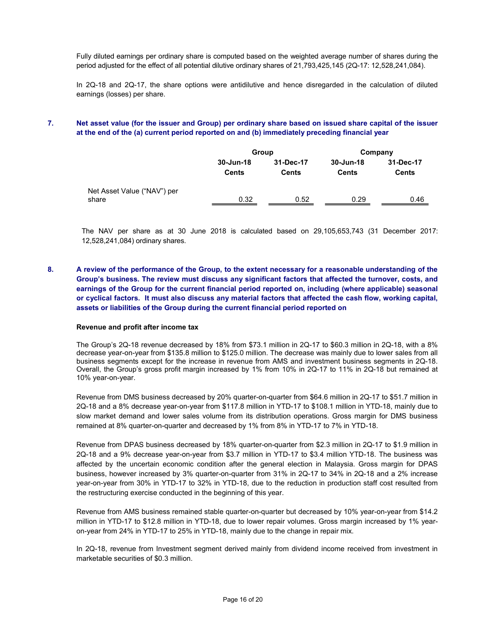Fully diluted earnings per ordinary share is computed based on the weighted average number of shares during the period adjusted for the effect of all potential dilutive ordinary shares of 21,793,425,145 (2Q-17: 12,528,241,084).

In 2Q-18 and 2Q-17, the share options were antidilutive and hence disregarded in the calculation of diluted earnings (losses) per share.

# 7. Net asset value (for the issuer and Group) per ordinary share based on issued share capital of the issuer at the end of the (a) current period reported on and (b) immediately preceding financial year

|                                      |                    | Group                     | Company                   |                           |  |
|--------------------------------------|--------------------|---------------------------|---------------------------|---------------------------|--|
|                                      | 30-Jun-18<br>Cents | 31-Dec-17<br><b>Cents</b> | 30-Jun-18<br><b>Cents</b> | 31-Dec-17<br><b>Cents</b> |  |
| Net Asset Value ("NAV") per<br>share | 0.32               | 0.52                      | 0.29                      | 0.46                      |  |

The NAV per share as at 30 June 2018 is calculated based on 29,105,653,743 (31 December 2017: 12,528,241,084) ordinary shares.

8. A review of the performance of the Group, to the extent necessary for a reasonable understanding of the Group's business. The review must discuss any significant factors that affected the turnover, costs, and earnings of the Group for the current financial period reported on, including (where applicable) seasonal or cyclical factors. It must also discuss any material factors that affected the cash flow, working capital, assets or liabilities of the Group during the current financial period reported on

#### Revenue and profit after income tax

The Group's 2Q-18 revenue decreased by 18% from \$73.1 million in 2Q-17 to \$60.3 million in 2Q-18, with a 8% decrease year-on-year from \$135.8 million to \$125.0 million. The decrease was mainly due to lower sales from all business segments except for the increase in revenue from AMS and investment business segments in 2Q-18. Overall, the Group's gross profit margin increased by 1% from 10% in 2Q-17 to 11% in 2Q-18 but remained at 10% year-on-year.

Revenue from DMS business decreased by 20% quarter-on-quarter from \$64.6 million in 2Q-17 to \$51.7 million in 2Q-18 and a 8% decrease year-on-year from \$117.8 million in YTD-17 to \$108.1 million in YTD-18, mainly due to slow market demand and lower sales volume from its distribution operations. Gross margin for DMS business remained at 8% quarter-on-quarter and decreased by 1% from 8% in YTD-17 to 7% in YTD-18.

Revenue from DPAS business decreased by 18% quarter-on-quarter from \$2.3 million in 2Q-17 to \$1.9 million in 2Q-18 and a 9% decrease year-on-year from \$3.7 million in YTD-17 to \$3.4 million YTD-18. The business was affected by the uncertain economic condition after the general election in Malaysia. Gross margin for DPAS business, however increased by 3% quarter-on-quarter from 31% in 2Q-17 to 34% in 2Q-18 and a 2% increase year-on-year from 30% in YTD-17 to 32% in YTD-18, due to the reduction in production staff cost resulted from the restructuring exercise conducted in the beginning of this year.

Revenue from AMS business remained stable quarter-on-quarter but decreased by 10% year-on-year from \$14.2 million in YTD-17 to \$12.8 million in YTD-18, due to lower repair volumes. Gross margin increased by 1% yearon-year from 24% in YTD-17 to 25% in YTD-18, mainly due to the change in repair mix.

In 2Q-18, revenue from Investment segment derived mainly from dividend income received from investment in marketable securities of \$0.3 million.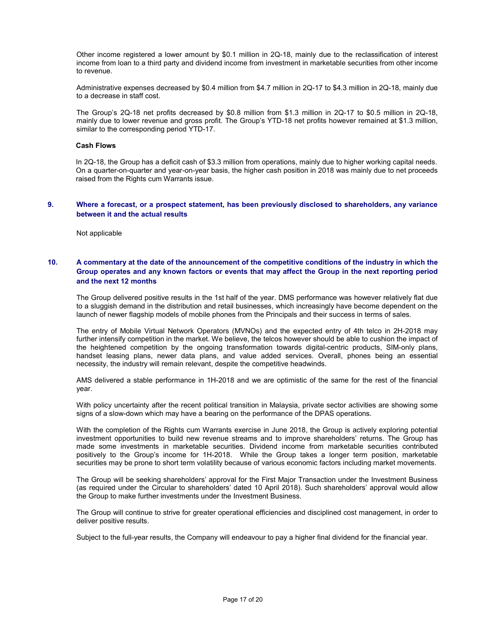Other income registered a lower amount by \$0.1 million in 2Q-18, mainly due to the reclassification of interest income from loan to a third party and dividend income from investment in marketable securities from other income to revenue.

Administrative expenses decreased by \$0.4 million from \$4.7 million in 2Q-17 to \$4.3 million in 2Q-18, mainly due to a decrease in staff cost.

The Group's 2Q-18 net profits decreased by \$0.8 million from \$1.3 million in 2Q-17 to \$0.5 million in 2Q-18, mainly due to lower revenue and gross profit. The Group's YTD-18 net profits however remained at \$1.3 million, similar to the corresponding period YTD-17.

#### Cash Flows

In 2Q-18, the Group has a deficit cash of \$3.3 million from operations, mainly due to higher working capital needs. On a quarter-on-quarter and year-on-year basis, the higher cash position in 2018 was mainly due to net proceeds raised from the Rights cum Warrants issue.

#### 9. Where a forecast, or a prospect statement, has been previously disclosed to shareholders, any variance between it and the actual results

Not applicable

# 10. A commentary at the date of the announcement of the competitive conditions of the industry in which the Group operates and any known factors or events that may affect the Group in the next reporting period and the next 12 months

The Group delivered positive results in the 1st half of the year. DMS performance was however relatively flat due to a sluggish demand in the distribution and retail businesses, which increasingly have become dependent on the launch of newer flagship models of mobile phones from the Principals and their success in terms of sales.

The entry of Mobile Virtual Network Operators (MVNOs) and the expected entry of 4th telco in 2H-2018 may further intensify competition in the market. We believe, the telcos however should be able to cushion the impact of the heightened competition by the ongoing transformation towards digital-centric products, SIM-only plans, handset leasing plans, newer data plans, and value added services. Overall, phones being an essential necessity, the industry will remain relevant, despite the competitive headwinds.

AMS delivered a stable performance in 1H-2018 and we are optimistic of the same for the rest of the financial year.

With policy uncertainty after the recent political transition in Malaysia, private sector activities are showing some signs of a slow-down which may have a bearing on the performance of the DPAS operations.

With the completion of the Rights cum Warrants exercise in June 2018, the Group is actively exploring potential investment opportunities to build new revenue streams and to improve shareholders' returns. The Group has made some investments in marketable securities. Dividend income from marketable securities contributed positively to the Group's income for 1H-2018. While the Group takes a longer term position, marketable securities may be prone to short term volatility because of various economic factors including market movements.

The Group will be seeking shareholders' approval for the First Major Transaction under the Investment Business (as required under the Circular to shareholders' dated 10 April 2018). Such shareholders' approval would allow the Group to make further investments under the Investment Business.

The Group will continue to strive for greater operational efficiencies and disciplined cost management, in order to deliver positive results.

Subject to the full-year results, the Company will endeavour to pay a higher final dividend for the financial year.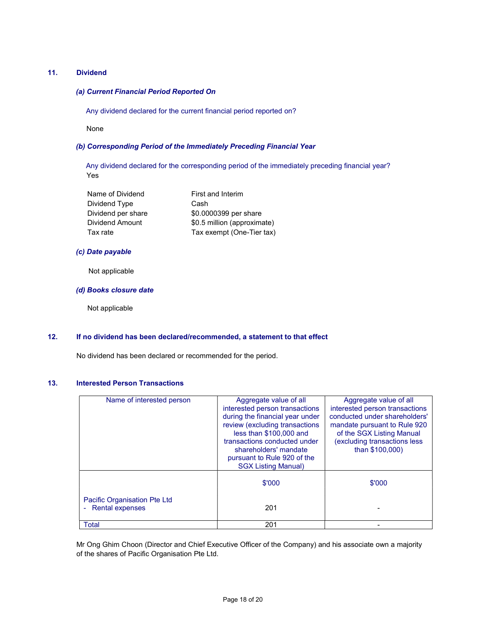## 11. Dividend

# (a) Current Financial Period Reported On

Any dividend declared for the current financial period reported on?

None

## (b) Corresponding Period of the Immediately Preceding Financial Year

 Any dividend declared for the corresponding period of the immediately preceding financial year? Yes

| Name of Dividend   | First and Interim           |
|--------------------|-----------------------------|
| Dividend Type      | Cash                        |
| Dividend per share | \$0.0000399 per share       |
| Dividend Amount    | \$0.5 million (approximate) |
| Tax rate           | Tax exempt (One-Tier tax)   |

#### (c) Date payable

Not applicable

#### (d) Books closure date

Not applicable

#### 12. If no dividend has been declared/recommended, a statement to that effect

No dividend has been declared or recommended for the period.

## 13. Interested Person Transactions

| Name of interested person                                                                 | Aggregate value of all<br>interested person transactions<br>during the financial year under<br>review (excluding transactions<br>less than \$100,000 and<br>transactions conducted under<br>shareholders' mandate<br>pursuant to Rule 920 of the<br><b>SGX Listing Manual)</b> | Aggregate value of all<br>interested person transactions<br>conducted under shareholders'<br>mandate pursuant to Rule 920<br>of the SGX Listing Manual<br>(excluding transactions less<br>than \$100,000) |
|-------------------------------------------------------------------------------------------|--------------------------------------------------------------------------------------------------------------------------------------------------------------------------------------------------------------------------------------------------------------------------------|-----------------------------------------------------------------------------------------------------------------------------------------------------------------------------------------------------------|
|                                                                                           | \$'000                                                                                                                                                                                                                                                                         | \$'000                                                                                                                                                                                                    |
| <b>Pacific Organisation Pte Ltd</b><br><b>Rental expenses</b><br>$\overline{\phantom{a}}$ | 201                                                                                                                                                                                                                                                                            |                                                                                                                                                                                                           |
| <b>Total</b>                                                                              | 201                                                                                                                                                                                                                                                                            |                                                                                                                                                                                                           |

Mr Ong Ghim Choon (Director and Chief Executive Officer of the Company) and his associate own a majority of the shares of Pacific Organisation Pte Ltd.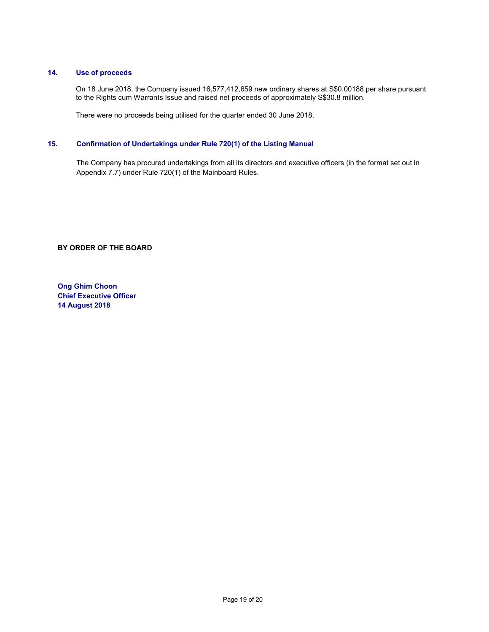## 14. Use of proceeds

 On 18 June 2018, the Company issued 16,577,412,659 new ordinary shares at S\$0.00188 per share pursuant to the Rights cum Warrants Issue and raised net proceeds of approximately S\$30.8 million.

There were no proceeds being utilised for the quarter ended 30 June 2018.

# 15. Confirmation of Undertakings under Rule 720(1) of the Listing Manual

The Company has procured undertakings from all its directors and executive officers (in the format set out in Appendix 7.7) under Rule 720(1) of the Mainboard Rules.

BY ORDER OF THE BOARD

Ong Ghim Choon Chief Executive Officer 14 August 2018